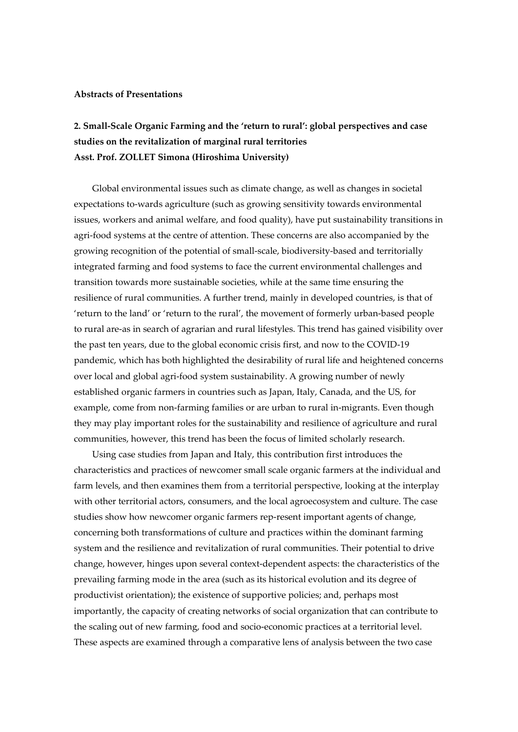## **Abstracts of Presentations**

## **2. Small-Scale Organic Farming and the 'return to rural': global perspectives and case studies on the revitalization of marginal rural territories Asst. Prof. ZOLLET Simona (Hiroshima University)**

Global environmental issues such as climate change, as well as changes in societal expectations to-wards agriculture (such as growing sensitivity towards environmental issues, workers and animal welfare, and food quality), have put sustainability transitions in agri-food systems at the centre of attention. These concerns are also accompanied by the growing recognition of the potential of small-scale, biodiversity-based and territorially integrated farming and food systems to face the current environmental challenges and transition towards more sustainable societies, while at the same time ensuring the resilience of rural communities. A further trend, mainly in developed countries, is that of 'return to the land' or 'return to the rural', the movement of formerly urban-based people to rural are-as in search of agrarian and rural lifestyles. This trend has gained visibility over the past ten years, due to the global economic crisis first, and now to the COVID-19 pandemic, which has both highlighted the desirability of rural life and heightened concerns over local and global agri-food system sustainability. A growing number of newly established organic farmers in countries such as Japan, Italy, Canada, and the US, for example, come from non-farming families or are urban to rural in-migrants. Even though they may play important roles for the sustainability and resilience of agriculture and rural communities, however, this trend has been the focus of limited scholarly research.

Using case studies from Japan and Italy, this contribution first introduces the characteristics and practices of newcomer small scale organic farmers at the individual and farm levels, and then examines them from a territorial perspective, looking at the interplay with other territorial actors, consumers, and the local agroecosystem and culture. The case studies show how newcomer organic farmers rep-resent important agents of change, concerning both transformations of culture and practices within the dominant farming system and the resilience and revitalization of rural communities. Their potential to drive change, however, hinges upon several context-dependent aspects: the characteristics of the prevailing farming mode in the area (such as its historical evolution and its degree of productivist orientation); the existence of supportive policies; and, perhaps most importantly, the capacity of creating networks of social organization that can contribute to the scaling out of new farming, food and socio-economic practices at a territorial level. These aspects are examined through a comparative lens of analysis between the two case